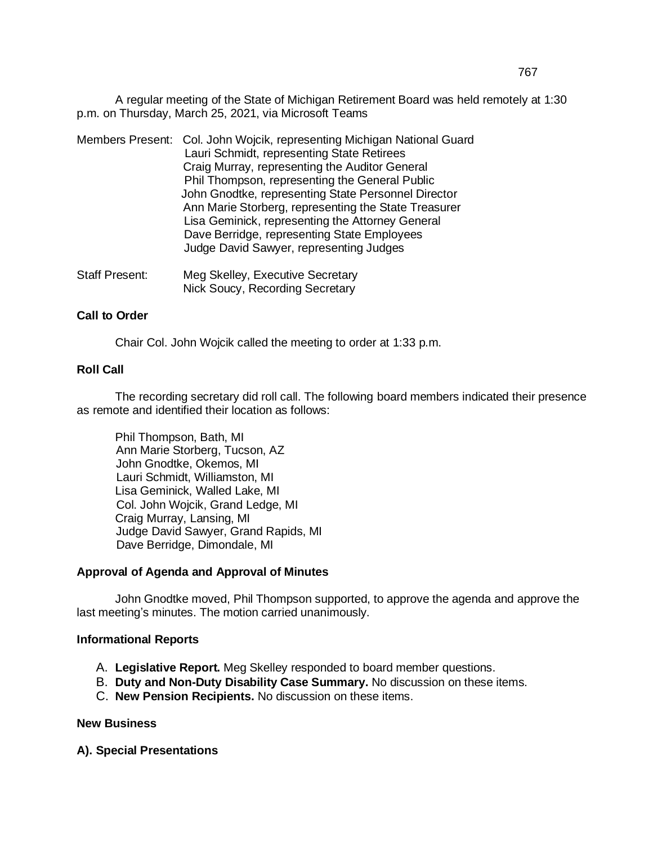A regular meeting of the State of Michigan Retirement Board was held remotely at 1:30 p.m. on Thursday, March 25, 2021, via Microsoft Teams

- Members Present: Col. John Wojcik, representing Michigan National Guard Lauri Schmidt, representing State Retirees Craig Murray, representing the Auditor General Phil Thompson, representing the General Public John Gnodtke, representing State Personnel Director Ann Marie Storberg, representing the State Treasurer Lisa Geminick, representing the Attorney General Dave Berridge, representing State Employees Judge David Sawyer, representing Judges
- Staff Present: Meg Skelley, Executive Secretary Nick Soucy, Recording Secretary

## **Call to Order**

Chair Col. John Wojcik called the meeting to order at 1:33 p.m.

# **Roll Call**

The recording secretary did roll call. The following board members indicated their presence as remote and identified their location as follows:

Phil Thompson, Bath, MI Ann Marie Storberg, Tucson, AZ John Gnodtke, Okemos, MI Lauri Schmidt, Williamston, MI Lisa Geminick, Walled Lake, MI Col. John Wojcik, Grand Ledge, MI Craig Murray, Lansing, MI Judge David Sawyer, Grand Rapids, MI Dave Berridge, Dimondale, MI

## **Approval of Agenda and Approval of Minutes**

John Gnodtke moved, Phil Thompson supported, to approve the agenda and approve the last meeting's minutes. The motion carried unanimously.

#### **Informational Reports**

- A. **Legislative Report.** Meg Skelley responded to board member questions.
- B. **Duty and Non-Duty Disability Case Summary.** No discussion on these items.
- C. **New Pension Recipients.** No discussion on these items.

#### **New Business**

**A). Special Presentations**